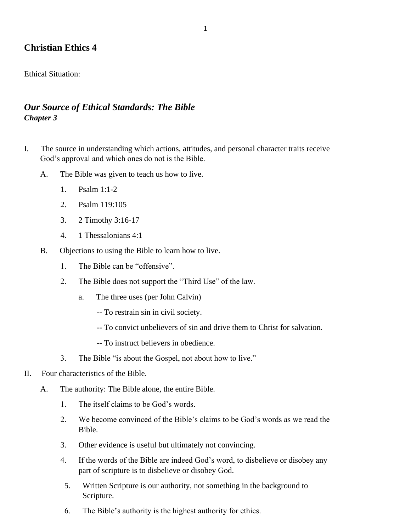# **Christian Ethics 4**

Ethical Situation:

# *Our Source of Ethical Standards: The Bible Chapter 3*

- I. The source in understanding which actions, attitudes, and personal character traits receive God's approval and which ones do not is the Bible.
	- A. The Bible was given to teach us how to live.
		- 1. Psalm 1:1-2
		- 2. Psalm 119:105
		- 3. 2 Timothy 3:16-17
		- 4. 1 Thessalonians 4:1
	- B. Objections to using the Bible to learn how to live.
		- 1. The Bible can be "offensive".
		- 2. The Bible does not support the "Third Use" of the law.
			- a. The three uses (per John Calvin)
				- -- To restrain sin in civil society.
				- -- To convict unbelievers of sin and drive them to Christ for salvation.
				- -- To instruct believers in obedience.
		- 3. The Bible "is about the Gospel, not about how to live."
- II. Four characteristics of the Bible.
	- A. The authority: The Bible alone, the entire Bible.
		- 1. The itself claims to be God's words.
		- 2. We become convinced of the Bible's claims to be God's words as we read the Bible.
		- 3. Other evidence is useful but ultimately not convincing.
		- 4. If the words of the Bible are indeed God's word, to disbelieve or disobey any part of scripture is to disbelieve or disobey God.
		- 5. Written Scripture is our authority, not something in the background to Scripture.
		- 6. The Bible's authority is the highest authority for ethics.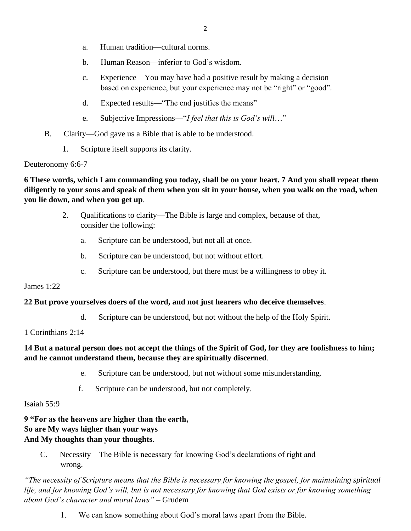- a. Human tradition—cultural norms.
- b. Human Reason—inferior to God's wisdom.
- c. Experience—You may have had a positive result by making a decision based on experience, but your experience may not be "right" or "good".
- d. Expected results—"The end justifies the means"
- e. Subjective Impressions—"*I feel that this is God's will*…"
- B. Clarity—God gave us a Bible that is able to be understood.
	- 1. Scripture itself supports its clarity.

Deuteronomy 6:6-7

**6 These words, which I am commanding you today, shall be on your heart. 7 And you shall repeat them diligently to your sons and speak of them when you sit in your house, when you walk on the road, when you lie down, and when you get up**.

- 2. Qualifications to clarity—The Bible is large and complex, because of that, consider the following:
	- a. Scripture can be understood, but not all at once.
	- b. Scripture can be understood, but not without effort.
	- c. Scripture can be understood, but there must be a willingness to obey it.

#### James 1:22

#### **22 But prove yourselves doers of the word, and not just hearers who deceive themselves**.

- d. Scripture can be understood, but not without the help of the Holy Spirit.
- 1 Corinthians 2:14

### **14 But a natural person does not accept the things of the Spirit of God, for they are foolishness to him; and he cannot understand them, because they are spiritually discerned**.

- e. Scripture can be understood, but not without some misunderstanding.
- f. Scripture can be understood, but not completely.

#### Isaiah 55:9

**9 "For as the heavens are higher than the earth, So are My ways higher than your ways And My thoughts than your thoughts**.

 C. Necessity—The Bible is necessary for knowing God's declarations of right and wrong.

*"The necessity of Scripture means that the Bible is necessary for knowing the gospel, for maintaining spiritual life, and for knowing God's will, but is not necessary for knowing that God exists or for knowing something about God's character and moral laws"* – Grudem

1. We can know something about God's moral laws apart from the Bible.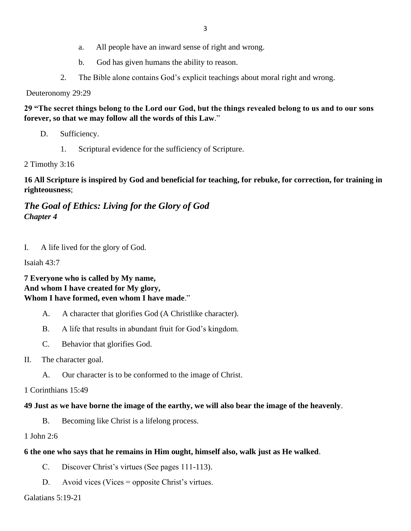- a. All people have an inward sense of right and wrong.
- b. God has given humans the ability to reason.
- 2. The Bible alone contains God's explicit teachings about moral right and wrong.

Deuteronomy 29:29

**29 "The secret things belong to the Lord our God, but the things revealed belong to us and to our sons forever, so that we may follow all the words of this Law**."

- D. Sufficiency.
	- 1. Scriptural evidence for the sufficiency of Scripture.

2 Timothy 3:16

**16 All Scripture is inspired by God and beneficial for teaching, for rebuke, for correction, for training in righteousness**;

# *The Goal of Ethics: Living for the Glory of God Chapter 4*

I. A life lived for the glory of God.

Isaiah 43:7

### **7 Everyone who is called by My name, And whom I have created for My glory, Whom I have formed, even whom I have made**."

- A. A character that glorifies God (A Christlike character).
- B. A life that results in abundant fruit for God's kingdom.
- C. Behavior that glorifies God.
- II. The character goal.
	- A. Our character is to be conformed to the image of Christ.

1 Corinthians 15:49

#### **49 Just as we have borne the image of the earthy, we will also bear the image of the heavenly**.

- B. Becoming like Christ is a lifelong process.
- 1 John 2:6

#### **6 the one who says that he remains in Him ought, himself also, walk just as He walked**.

- C. Discover Christ's virtues (See pages 111-113).
- D. Avoid vices (Vices = opposite Christ's virtues.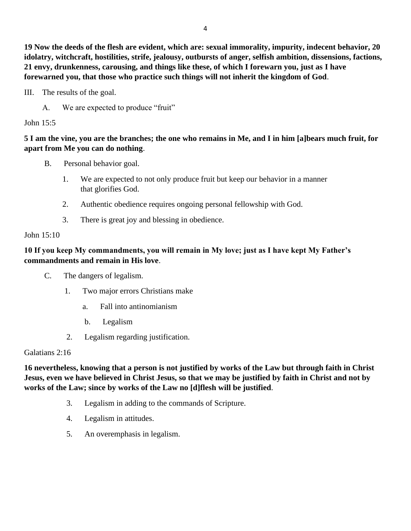**19 Now the deeds of the flesh are evident, which are: sexual immorality, impurity, indecent behavior, 20 idolatry, witchcraft, hostilities, strife, jealousy, outbursts of anger, selfish ambition, dissensions, factions, 21 envy, drunkenness, carousing, and things like these, of which I forewarn you, just as I have forewarned you, that those who practice such things will not inherit the kingdom of God**.

III. The results of the goal.

A. We are expected to produce "fruit"

John 15:5

## **5 I am the vine, you are the branches; the one who remains in Me, and I in him [a]bears much fruit, for apart from Me you can do nothing**.

- B. Personal behavior goal.
	- 1. We are expected to not only produce fruit but keep our behavior in a manner that glorifies God.
	- 2. Authentic obedience requires ongoing personal fellowship with God.
	- 3. There is great joy and blessing in obedience.

### John 15:10

## **10 If you keep My commandments, you will remain in My love; just as I have kept My Father's commandments and remain in His love**.

- C. The dangers of legalism.
	- 1. Two major errors Christians make
		- a. Fall into antinomianism
		- b. Legalism
	- 2. Legalism regarding justification.

Galatians 2:16

**16 nevertheless, knowing that a person is not justified by works of the Law but through faith in Christ Jesus, even we have believed in Christ Jesus, so that we may be justified by faith in Christ and not by works of the Law; since by works of the Law no [d]flesh will be justified**.

- 3. Legalism in adding to the commands of Scripture.
- 4. Legalism in attitudes.
- 5. An overemphasis in legalism.